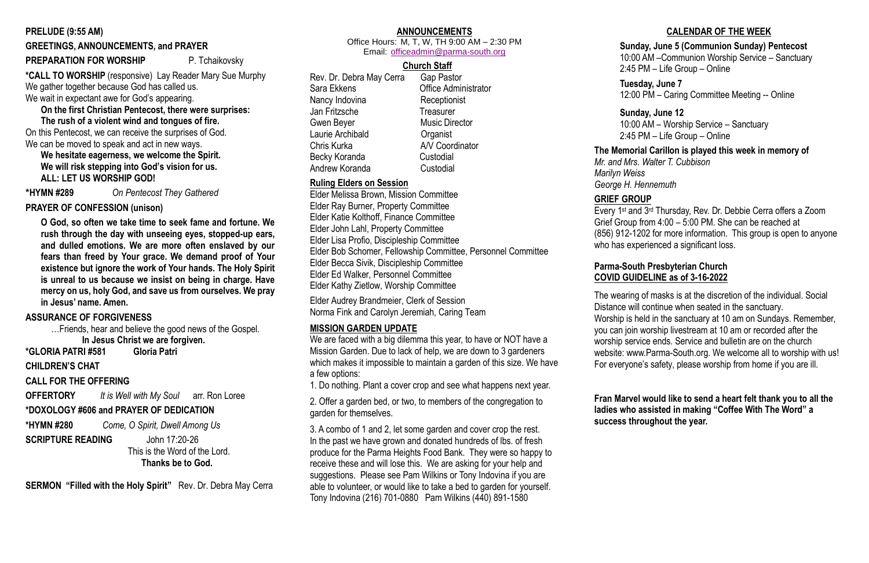### **PRELUDE (9:55 AM)**

### **GREETINGS, ANNOUNCEMENTS, and PRAYER**

### **PREPARATION FOR WORSHIP**P. Tchaikovsky

**\*CALL TO WORSHIP** (responsive) Lay Reader Mary Sue Murphy We gather together because God has called us. We wait in expectant awe for God's appearing.

**On the first Christian Pentecost, there were surprises:**

**The rush of a violent wind and tongues of fire.** On this Pentecost, we can receive the surprises of God. We can be moved to speak and act in new ways.

**We hesitate eagerness, we welcome the Spirit. We will risk stepping into God's vision for us. ALL: LET US WORSHIP GOD!**

**\*HYMN #289** *On Pentecost They Gathered*

### **PRAYER OF CONFESSION (unison)**

**O God, so often we take time to seek fame and fortune. We rush through the day with unseeing eyes, stopped-up ears, and dulled emotions. We are more often enslaved by our fears than freed by Your grace. We demand proof of Your existence but ignore the work of Your hands. The Holy Spirit is unreal to us because we insist on being in charge. Have mercy on us, holy God, and save us from ourselves. We pray in Jesus' name. Amen.**

### **ASSURANCE OF FORGIVENESS**

…Friends, hear and believe the good news of the Gospel. **In Jesus Christ we are forgiven.**

**\*GLORIA PATRI #581 Gloria Patri** 

**CHILDREN'S CHAT**

### **CALL FOR THE OFFERING**

**OFFERTORY** *It is Well with My Soul* arr. Ron Loree

### **\*DOXOLOGY #606 and PRAYER OF DEDICATION**

**\*HYMN #280** *Come, O Spirit, Dwell Among Us*

**SCRIPTURE READING** John 17:20-26

 This is the Word of the Lord.  **Thanks be to God.**

**SERMON "Filled with the Holy Spirit"**Rev. Dr. Debra May Cerra

### **ANNOUNCEMENTS**

Office Hours: M, T, W, TH 9:00 AM – 2:30 PM Email: [officeadmin@parma-south.org](about:blank)

### **Church Staff**

Rev. Dr. Debra May Cerra Gap Pastor Sara Ekkens Office Administrator Nancy Indovina Receptionist Jan Fritzsche Treasurer Gwen Beyer **Music Director** Laurie Archibald **Cannes** Organist Chris Kurka A/V Coordinator Becky Koranda Custodial Andrew Koranda Custodial

Every 1st and 3rd Thursday, Rev. Dr. Debbie Cerra offers a Zoom Grief Group from 4:00 – 5:00 PM. She can be reached at (856) 912-1202 for more information. This group is open to anyone who has experienced a significant loss.

### **Ruling Elders on Session**

Elder Melissa Brown, Mission Committee Elder Ray Burner, Property Committee Elder Katie Kolthoff, Finance Committee Elder John Lahl, Property Committee Elder Lisa Profio, Discipleship Committee Elder Bob Schomer, Fellowship Committee, Personnel Committee Elder Becca Sivik, Discipleship Committee Elder Ed Walker, Personnel Committee Elder Kathy Zietlow, Worship Committee

Elder Audrey Brandmeier, Clerk of Session Norma Fink and Carolyn Jeremiah, Caring Team

### **MISSION GARDEN UPDATE**

We are faced with a big dilemma this year, to have or NOT have a Mission Garden. Due to lack of help, we are down to 3 gardeners which makes it impossible to maintain a garden of this size. We have a few options:

1. Do nothing. Plant a cover crop and see what happens next year.

2. Offer a garden bed, or two, to members of the congregation to garden for themselves.

3. A combo of 1 and 2, let some garden and cover crop the rest. In the past we have grown and donated hundreds of lbs. of fresh produce for the Parma Heights Food Bank. They were so happy to receive these and will lose this. We are asking for your help and suggestions. Please see Pam Wilkins or Tony Indovina if you are able to volunteer, or would like to take a bed to garden for yourself. Tony Indovina (216) 701-0880 Pam Wilkins (440) 891-1580

## **CALENDAR OF THE WEEK**

## **Sunday, June 5 (Communion Sunday) Pentecost**

10:00 AM –Communion Worship Service – Sanctuary 2:45 PM – Life Group – Online

**Tuesday, June 7** 12:00 PM – Caring Committee Meeting -- Online

**Sunday, June 12** 10:00 AM – Worship Service – Sanctuary 2:45 PM – Life Group – Online

# **The Memorial Carillon is played this week in memory of**

*Mr. and Mrs. Walter T. Cubbison Marilyn Weiss George H. Hennemuth*

### **GRIEF GROUP**

## **Parma-South Presbyterian Church COVID GUIDELINE as of 3-16-2022**

The wearing of masks is at the discretion of the individual. Social Distance will continue when seated in the sanctuary. Worship is held in the sanctuary at 10 am on Sundays. Remember, you can join worship livestream at 10 am or recorded after the worship service ends. Service and bulletin are on the church website: www.Parma-South.org. We welcome all to worship with us! For everyone's safety, please worship from home if you are ill.

**Fran Marvel would like to send a heart felt thank you to all the ladies who assisted in making "Coffee With The Word" a success throughout the year.**